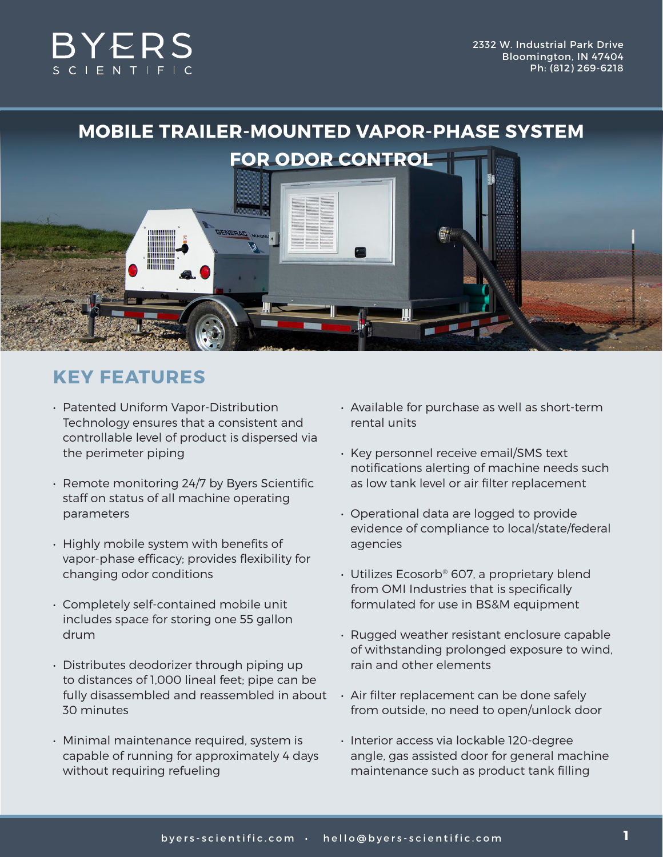

# **KEY FEATURES**

- Patented Uniform Vapor-Distribution Technology ensures that a consistent and controllable level of product is dispersed via the perimeter piping
- Remote monitoring 24/7 by Byers Scientific staff on status of all machine operating parameters
- Highly mobile system with benefits of vapor-phase efficacy; provides flexibility for changing odor conditions
- Completely self-contained mobile unit includes space for storing one 55 gallon drum
- Distributes deodorizer through piping up to distances of 1,000 lineal feet; pipe can be fully disassembled and reassembled in about 30 minutes
- Minimal maintenance required, system is capable of running for approximately 4 days without requiring refueling
- Available for purchase as well as short-term rental units
- Key personnel receive email/SMS text notifications alerting of machine needs such as low tank level or air filter replacement
- Operational data are logged to provide evidence of compliance to local/state/federal agencies
- Utilizes Ecosorb® 607, a proprietary blend from OMI Industries that is specifically formulated for use in BS&M equipment
- Rugged weather resistant enclosure capable of withstanding prolonged exposure to wind, rain and other elements
- Air filter replacement can be done safely from outside, no need to open/unlock door
- Interior access via lockable 120-degree angle, gas assisted door for general machine maintenance such as product tank filling